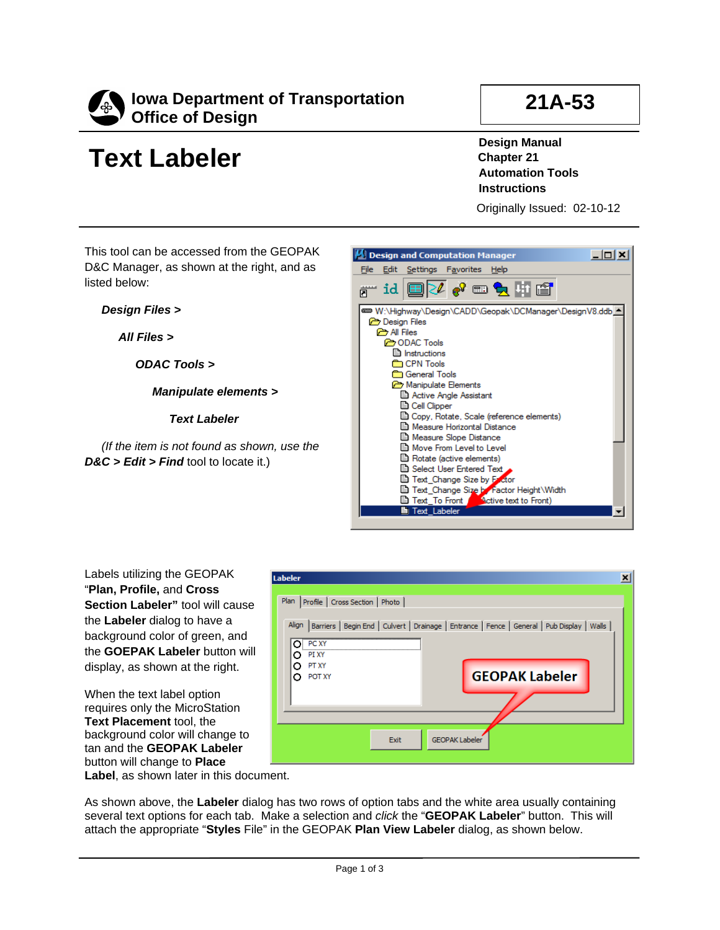

## **Text Labeler**

## **21A-53**

**Design Manual Chapter 21 Automation Tools Instructions**

Originally Issued: 02-10-12

This tool can be accessed from the GEOPAK D&C Manager, as shown at the right, and as listed below:

*Design Files >*

*All Files >*

*ODAC Tools >*

*Manipulate elements >*

*Text Labeler*

*(If the item is not found as shown, use the D&C > Edit > Find* tool to locate it.)



Labels utilizing the GEOPAK "**Plan, Profile,** and **Cross Section Labeler"** tool will cause the **Labeler** dialog to have a background color of green, and the **GOEPAK Labeler** button will display, as shown at the right.

When the text label option requires only the MicroStation **Text Placement** tool, the background color will change to tan and the **GEOPAK Labeler**  button will change to **Place Label**, as shown later in this document.



As shown above, the **Labeler** dialog has two rows of option tabs and the white area usually containing several text options for each tab. Make a selection and *click* the "**GEOPAK Labeler**" button. This will attach the appropriate "**Styles** File" in the GEOPAK **Plan View Labeler** dialog, as shown below.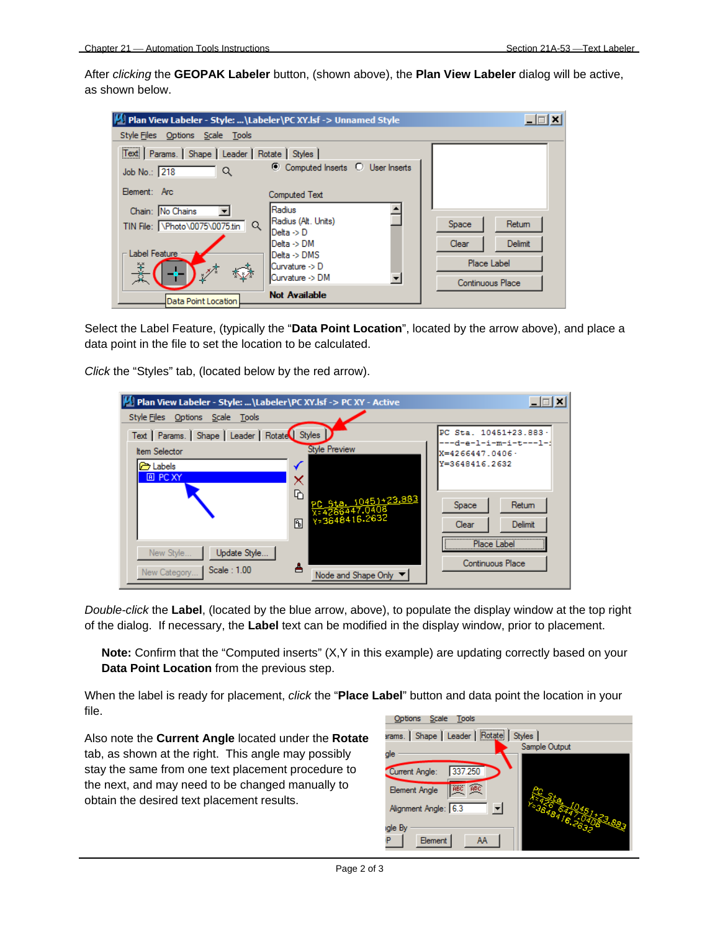After *clicking* the **GEOPAK Labeler** button, (shown above), the **Plan View Labeler** dialog will be active, as shown below.

| <b>M.</b> Plan View Labeler - Style:  \Labeler \PC XY.lsf -> Unnamed Style |                                                        |                      |                         |
|----------------------------------------------------------------------------|--------------------------------------------------------|----------------------|-------------------------|
| Style Files Options Scale Tools                                            |                                                        |                      |                         |
| Text   Params.   Shape   Leader   Rotate   Styles  <br>Job No.: 218<br>Q   | ◯ Computed Inserts ◯ User Inserts                      |                      |                         |
| Element: Arc:                                                              | <b>Computed Text</b>                                   |                      |                         |
| Chain: No Chains<br>TIN File: \Photo\0075\0075.tin<br>Q                    | Radius<br>Radius (Alt. Units)<br>$Delta \rightarrow D$ | Space                | Return                  |
| Label Feature                                                              | Delta -> DM<br>$Delta$ -> $DMS$                        | Clear<br>Place Label | Delimit                 |
| 冰楼<br>⊀ु≯                                                                  | Curvature -> D<br>Curvature -> DM                      |                      | <b>Continuous Place</b> |
| Data Point Location                                                        | <b>Not Available</b>                                   |                      |                         |

Select the Label Feature, (typically the "**Data Point Location**", located by the arrow above), and place a data point in the file to set the location to be calculated.

*Click* the "Styles" tab, (located below by the red arrow).

| <b>M. Plan View Labeler - Style: \Labeler\PC XY.lsf -&gt; PC XY - Active</b> |                                                  | -101                                       |
|------------------------------------------------------------------------------|--------------------------------------------------|--------------------------------------------|
| Style Files Options Scale Tools                                              |                                                  |                                            |
| Text   Params.   Shape   Leader   Rotate   Styles                            |                                                  | PC Sta. 10451+23.883 ·                     |
| <b>Item Selector</b>                                                         | <b>Style Preview</b>                             | ---d-e-l-i-m-i-t----l-i<br>X=4266447.0406· |
| abels <b>a</b>                                                               |                                                  | Y=3648416.2632                             |
| <b>A</b> PC XY                                                               | ᡅ<br>PC 5ta. 10451+23.883<br>X=4266447.0408<br>凮 | Space<br>Return<br>Delimit<br>Clear        |
| Update Style<br>New Style<br>Scale:1.00<br>New Category                      | Node and Shape Only                              | Place Label<br>Continuous Place            |

*Double-click* the **Label**, (located by the blue arrow, above), to populate the display window at the top right of the dialog. If necessary, the **Label** text can be modified in the display window, prior to placement.

**Note:** Confirm that the "Computed inserts" (X,Y in this example) are updating correctly based on your **Data Point Location** from the previous step.

When the label is ready for placement, *click* the "**Place Label**" button and data point the location in your file.

Also note the **Current Angle** located under the **Rotate**  tab, as shown at the right. This angle may possibly stay the same from one text placement procedure to the next, and may need to be changed manually to obtain the desired text placement results.

| Options Scale<br>Tools                          |               |  |  |  |
|-------------------------------------------------|---------------|--|--|--|
| arams.   Shape   Leader   Rotate   Styles       |               |  |  |  |
| gle                                             | Sample Output |  |  |  |
| 337.250<br>Current Angle:                       |               |  |  |  |
| ABC<br>ABC <sup>1</sup><br><b>Element Angle</b> |               |  |  |  |
| Alignment Angle: 6.3                            |               |  |  |  |
| igle By                                         |               |  |  |  |
| Element<br>AA<br>ıP                             |               |  |  |  |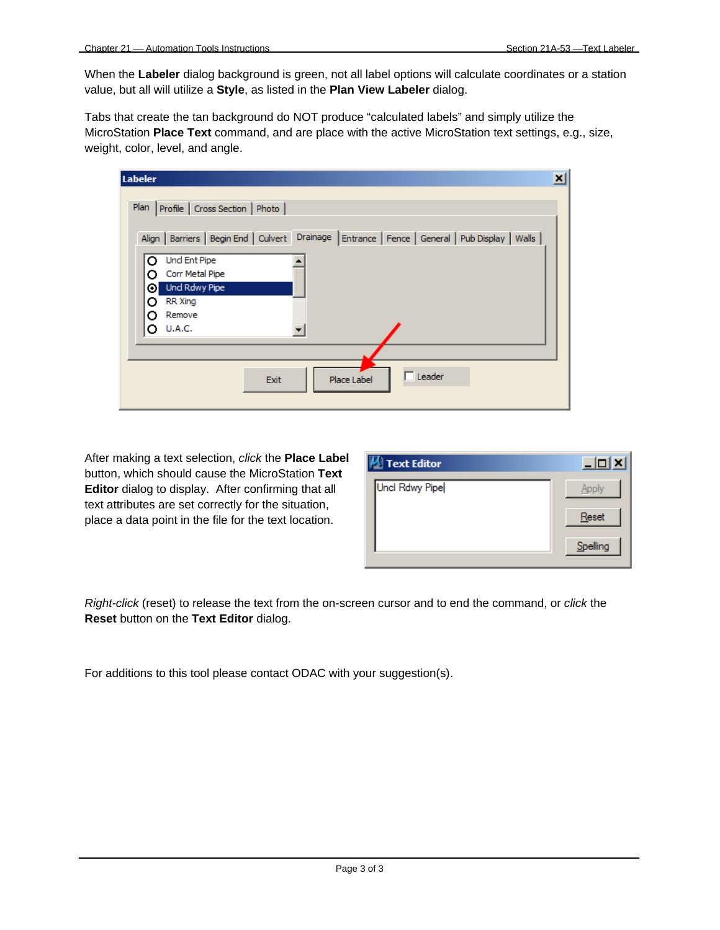When the **Labeler** dialog background is green, not all label options will calculate coordinates or a station value, but all will utilize a **Style**, as listed in the **Plan View Labeler** dialog.

Tabs that create the tan background do NOT produce "calculated labels" and simply utilize the MicroStation **Place Text** command, and are place with the active MicroStation text settings, e.g., size, weight, color, level, and angle.

| Labeler                                                                                                                                        | × |
|------------------------------------------------------------------------------------------------------------------------------------------------|---|
| Plan Profile   Cross Section   Photo  <br>Align   Barriers   Begin End   Culvert   Drainage   Entrance   Fence   General   Pub Display   Walls |   |
| <b>Und Ent Pipe</b><br>Ω<br>Corr Metal Pipe<br>o<br>Und Rdwy Pipe<br>⊙ı<br>RR Xing<br>Remove<br>Ω                                              |   |
| <b>U.A.C.</b>                                                                                                                                  |   |
| $\Box$ Leader<br>Place Label<br>Exit                                                                                                           |   |

After making a text selection, *click* the **Place Label**  button, which should cause the MicroStation **Text Editor** dialog to display. After confirming that all text attributes are set correctly for the situation, place a data point in the file for the text location.

| Text Editor    |          |
|----------------|----------|
| Uncl Rdwy Pipe | Apply    |
|                | Reset    |
|                | Spelling |

*Right-click* (reset) to release the text from the on-screen cursor and to end the command, or *click* the **Reset** button on the **Text Editor** dialog.

For additions to this tool please contact ODAC with your suggestion(s).